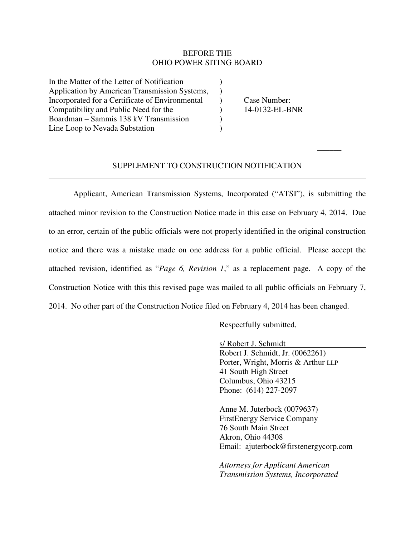#### BEFORE THE OHIO POWER SITING BOARD

In the Matter of the Letter of Notification ) Application by American Transmission Systems, ) Incorporated for a Certificate of Environmental (a) Case Number: Compatibility and Public Need for the ) 14-0132-EL-BNR Boardman – Sammis 138 kV Transmission ) Line Loop to Nevada Substation (1)

 $\overline{a}$ 

### SUPPLEMENT TO CONSTRUCTION NOTIFICATION

\_\_\_\_\_\_

 Applicant, American Transmission Systems, Incorporated ("ATSI"), is submitting the attached minor revision to the Construction Notice made in this case on February 4, 2014. Due to an error, certain of the public officials were not properly identified in the original construction notice and there was a mistake made on one address for a public official. Please accept the attached revision, identified as "*Page 6, Revision 1*," as a replacement page. A copy of the Construction Notice with this this revised page was mailed to all public officials on February 7, 2014. No other part of the Construction Notice filed on February 4, 2014 has been changed.

Respectfully submitted,

s/ Robert J. Schmidt Robert J. Schmidt, Jr. (0062261) Porter, Wright, Morris & Arthur LLP 41 South High Street Columbus, Ohio 43215 Phone: (614) 227-2097

Anne M. Juterbock (0079637) FirstEnergy Service Company 76 South Main Street Akron, Ohio 44308 Email: ajuterbock@firstenergycorp.com

*Attorneys for Applicant American Transmission Systems, Incorporated*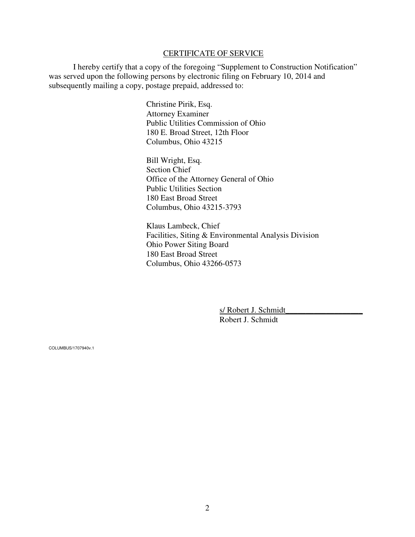#### CERTIFICATE OF SERVICE

 I hereby certify that a copy of the foregoing "Supplement to Construction Notification" was served upon the following persons by electronic filing on February 10, 2014 and subsequently mailing a copy, postage prepaid, addressed to:

> Christine Pirik, Esq. Attorney Examiner Public Utilities Commission of Ohio 180 E. Broad Street, 12th Floor Columbus, Ohio 43215

Bill Wright, Esq. Section Chief Office of the Attorney General of Ohio Public Utilities Section 180 East Broad Street Columbus, Ohio 43215-3793

Klaus Lambeck, Chief Facilities, Siting & Environmental Analysis Division Ohio Power Siting Board 180 East Broad Street Columbus, Ohio 43266-0573

> s/ Robert J. Schmidt Robert J. Schmidt

COLUMBUS/1707940v.1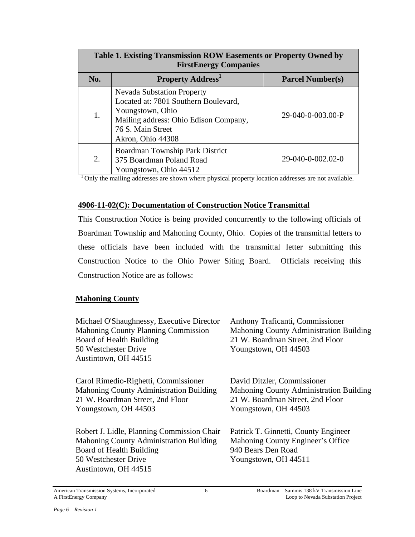| Table 1. Existing Transmission ROW Easements or Property Owned by<br><b>FirstEnergy Companies</b> |                                                                                                                                                                                  |                         |  |
|---------------------------------------------------------------------------------------------------|----------------------------------------------------------------------------------------------------------------------------------------------------------------------------------|-------------------------|--|
| No.                                                                                               | <b>Property Address</b> <sup>1</sup>                                                                                                                                             | <b>Parcel Number(s)</b> |  |
| 1.                                                                                                | <b>Nevada Substation Property</b><br>Located at: 7801 Southern Boulevard,<br>Youngstown, Ohio<br>Mailing address: Ohio Edison Company,<br>76 S. Main Street<br>Akron, Ohio 44308 | 29-040-0-003.00-P       |  |
| 2.                                                                                                | Boardman Township Park District<br>375 Boardman Poland Road<br>Youngstown, Ohio 44512                                                                                            | 29-040-0-002.02-0       |  |

 $<sup>1</sup>$  Only the mailing addresses are shown where physical property location addresses are not available.</sup>

#### **4906-11-02(C): Documentation of Construction Notice Transmittal**

This Construction Notice is being provided concurrently to the following officials of Boardman Township and Mahoning County, Ohio. Copies of the transmittal letters to these officials have been included with the transmittal letter submitting this Construction Notice to the Ohio Power Siting Board. Officials receiving this Construction Notice are as follows:

## **Mahoning County**

| Michael O'Shaughnessy, Executive Director<br><b>Mahoning County Planning Commission</b><br>Board of Health Building<br>50 Westchester Drive<br>Austintown, OH 44515 | Anthony Traficanti, Commissioner<br><b>Mahoning County Administration Building</b><br>21 W. Boardman Street, 2nd Floor<br>Youngstown, OH 44503 |
|---------------------------------------------------------------------------------------------------------------------------------------------------------------------|------------------------------------------------------------------------------------------------------------------------------------------------|
| Carol Rimedio-Righetti, Commissioner<br>Mahoning County Administration Building<br>21 W. Boardman Street, 2nd Floor<br>Youngstown, OH 44503                         | David Ditzler, Commissioner<br>Mahoning County Administration Building<br>21 W. Boardman Street, 2nd Floor<br>Youngstown, OH 44503             |
| Robert J. Lidle, Planning Commission Chair<br>Mahoning County Administration Building<br>Board of Health Building<br>50 Westchester Drive<br>Austintown, OH 44515   | Patrick T. Ginnetti, County Engineer<br>Mahoning County Engineer's Office<br>940 Bears Den Road<br>Youngstown, OH 44511                        |